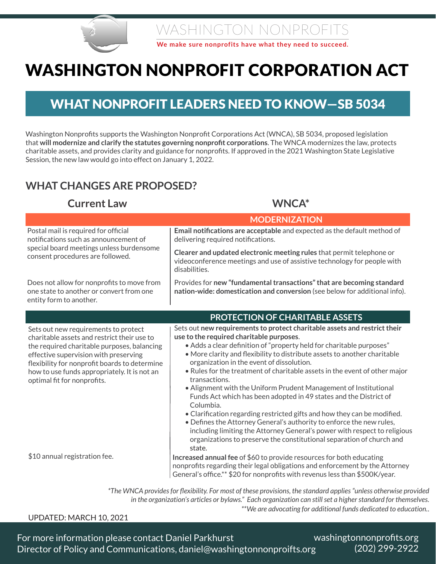

### WASHINGTON NONPROFITS

**We make sure nonprofits have what they need to succeed.**

# WASHINGTON NONPROFIT CORPORATION ACT

### WHAT NONPROFIT LEADERS NEED TO KNOW—SB 5034

Washington Nonprofits supports the Washington Nonprofit Corporations Act (WNCA), SB 5034, proposed legislation that **will modernize and clarify the statutes governing nonprofit corporations**. The WNCA modernizes the law, protects charitable assets, and provides clarity and guidance for nonprofits. If approved in the 2021 Washington State Legislative Session, the new law would go into effect on January 1, 2022.

### **WHAT CHANGES ARE PROPOSED?**

#### **Current Law WNCA\***

|                                                                                                                                                                                                                                                                                                             | <b>MODERNIZATION</b>                                                                                                                                                                                                                                                                                                                                                                                                                                                                                                                                                                                                                                                                                                                                                                                                                                                                             |
|-------------------------------------------------------------------------------------------------------------------------------------------------------------------------------------------------------------------------------------------------------------------------------------------------------------|--------------------------------------------------------------------------------------------------------------------------------------------------------------------------------------------------------------------------------------------------------------------------------------------------------------------------------------------------------------------------------------------------------------------------------------------------------------------------------------------------------------------------------------------------------------------------------------------------------------------------------------------------------------------------------------------------------------------------------------------------------------------------------------------------------------------------------------------------------------------------------------------------|
| Postal mail is required for official<br>notifications such as announcement of<br>special board meetings unless burdensome<br>consent procedures are followed.                                                                                                                                               | Email notifications are acceptable and expected as the default method of<br>delivering required notifications.                                                                                                                                                                                                                                                                                                                                                                                                                                                                                                                                                                                                                                                                                                                                                                                   |
|                                                                                                                                                                                                                                                                                                             | Clearer and updated electronic meeting rules that permit telephone or<br>videoconference meetings and use of assistive technology for people with<br>disabilities.                                                                                                                                                                                                                                                                                                                                                                                                                                                                                                                                                                                                                                                                                                                               |
| Does not allow for nonprofits to move from<br>one state to another or convert from one<br>entity form to another.                                                                                                                                                                                           | Provides for new "fundamental transactions" that are becoming standard<br>nation-wide: domestication and conversion (see below for additional info).                                                                                                                                                                                                                                                                                                                                                                                                                                                                                                                                                                                                                                                                                                                                             |
|                                                                                                                                                                                                                                                                                                             | <b>PROTECTION OF CHARITABLE ASSETS</b>                                                                                                                                                                                                                                                                                                                                                                                                                                                                                                                                                                                                                                                                                                                                                                                                                                                           |
| Sets out new requirements to protect<br>charitable assets and restrict their use to<br>the required charitable purposes, balancing<br>effective supervision with preserving<br>flexibility for nonprofit boards to determine<br>how to use funds appropriately. It is not an<br>optimal fit for nonprofits. | Sets out new requirements to protect charitable assets and restrict their<br>use to the required charitable purposes.<br>• Adds a clear definition of "property held for charitable purposes"<br>• More clarity and flexibility to distribute assets to another charitable<br>organization in the event of dissolution.<br>• Rules for the treatment of charitable assets in the event of other major<br>transactions.<br>• Alignment with the Uniform Prudent Management of Institutional<br>Funds Act which has been adopted in 49 states and the District of<br>Columbia.<br>• Clarification regarding restricted gifts and how they can be modified.<br>• Defines the Attorney General's authority to enforce the new rules,<br>including limiting the Attorney General's power with respect to religious<br>organizations to preserve the constitutional separation of church and<br>state. |
| \$10 annual registration fee.                                                                                                                                                                                                                                                                               | Increased annual fee of \$60 to provide resources for both educating<br>nonprofits regarding their legal obligations and enforcement by the Attorney<br>General's office.** \$20 for nonprofits with revenus less than \$500K/year.                                                                                                                                                                                                                                                                                                                                                                                                                                                                                                                                                                                                                                                              |

*\*The WNCA provides for flexibility. For most of these provisions, the standard applies "unless otherwise provided in the organization's articles or bylaws." Each organization can still set a higher standard for themselves. \*\*We are advocating for additional funds dedicated to education..* 

#### Seattle WA 98144 (855) 299-2922 www.washingtonnonprofits.org UPDATED: MARCH 10, 2021

 washingtonnonprofits.org For more information please contact Daniel Parkhurst (202) 299-2922 Director of Policy and Communications, daniel@washingtonnonproifts.org